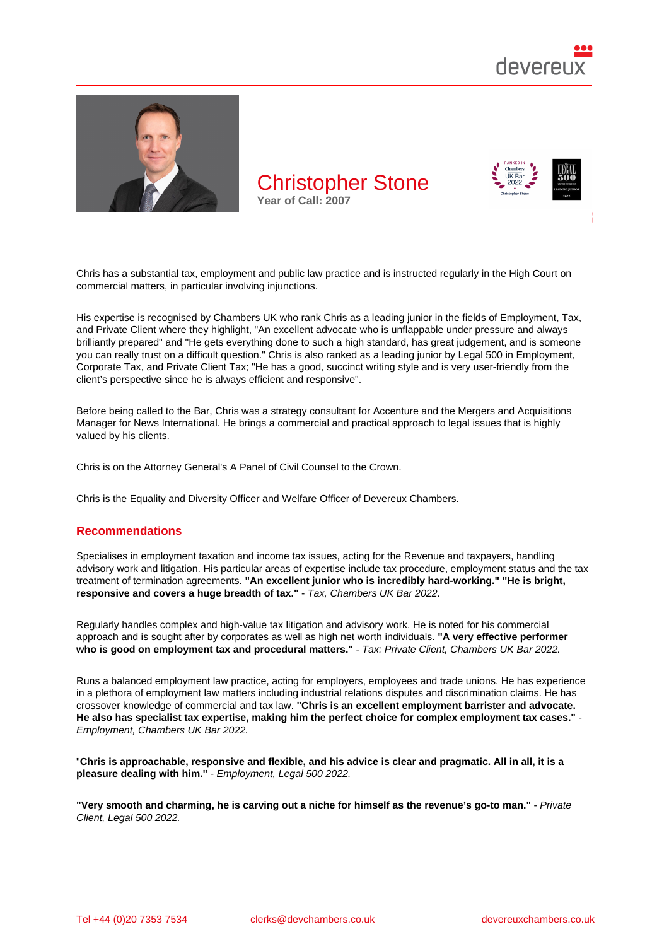

Chris has a substantial tax, employment and public law practice and is instructed regularly in the High Court on commercial matters, in particular involving injunctions.

His expertise is recognised by Chambers UK who rank Chris as a leading junior in the fields of Employment, Tax, and Private Client where they highlight, "An excellent advocate who is unflappable under pressure and always brilliantly prepared" and "He gets everything done to such a high standard, has great judgement, and is someone you can really trust on a difficult question." Chris is also ranked as a leading junior by Legal 500 in Employment, Corporate Tax, and Private Client Tax; "He has a good, succinct writing style and is very user-friendly from the client's perspective since he is always efficient and responsive".

Before being called to the Bar, Chris was a strategy consultant for Accenture and the Mergers and Acquisitions Manager for News International. He brings a commercial and practical approach to legal issues that is highly valued by his clients.

Chris is on the Attorney General's A Panel of Civil Counsel to the Crown.

Chris is the Equality and Diversity Officer and Welfare Officer of Devereux Chambers.

#### Recommendations

Specialises in employment taxation and income tax issues, acting for the Revenue and taxpayers, handling advisory work and litigation. His particular areas of expertise include tax procedure, employment status and the tax treatment of termination agreements. "An excellent junior who is incredibly hard-working." "He is bright, responsive and covers a huge breadth of tax." - Tax, Chambers UK Bar 2022.

Regularly handles complex and high-value tax litigation and advisory work. He is noted for his commercial approach and is sought after by corporates as well as high net worth individuals. "A very effective performer who is good on employment tax and procedural matters." - Tax: Private Client, Chambers UK Bar 2022.

Runs a balanced employment law practice, acting for employers, employees and trade unions. He has experience in a plethora of employment law matters including industrial relations disputes and discrimination claims. He has crossover knowledge of commercial and tax law. "Chris is an excellent employment barrister and advocate. He also has specialist tax expertise, making him the perfect choice for complex employment tax cases." Employment, Chambers UK Bar 2022.

"Chris is approachable, responsive and flexible, and his advice is clear and pragmatic. All in all, it is a pleasure dealing with him." - Employment, Legal 500 2022.

"Very smooth and charming, he is carving out a niche for himself as the revenue's go-to man." - Private Client, Legal 500 2022.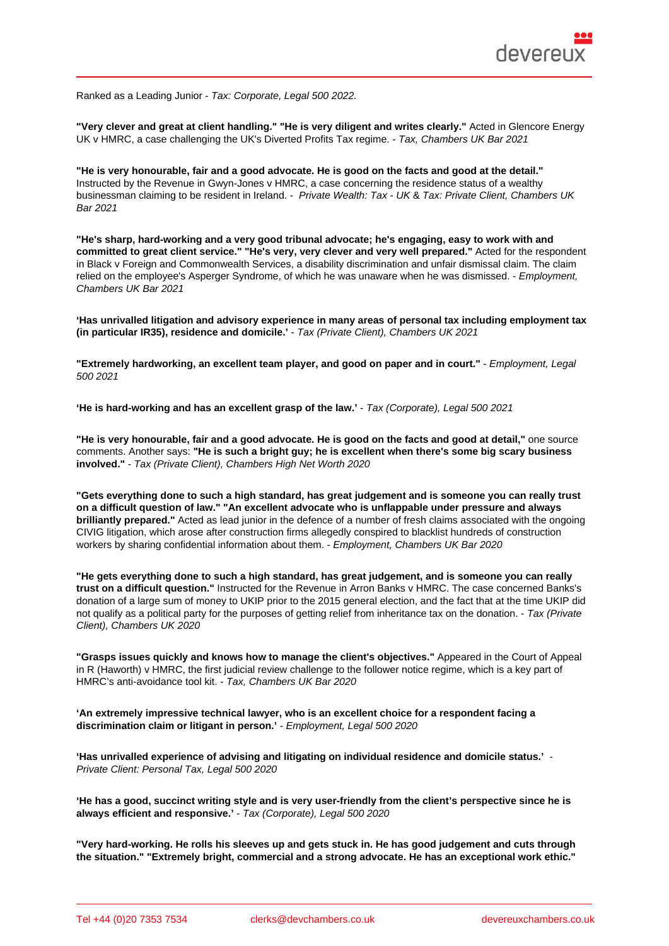Ranked as a Leading Junior - Tax: Corporate, Legal 500 2022.

"Very clever and great at client handling." "He is very diligent and writes clearly." Acted in Glencore Energy UK v HMRC, a case challenging the UK's Diverted Profits Tax regime. - Tax, Chambers UK Bar 2021

"He is very honourable, fair and a good advocate. He is good on the facts and good at the detail." Instructed by the Revenue in Gwyn-Jones v HMRC, a case concerning the residence status of a wealthy businessman claiming to be resident in Ireland. - Private Wealth: Tax - UK & Tax: Private Client, Chambers UK Bar 2021

"He's sharp, hard-working and a very good tribunal advocate; he's engaging, easy to work with and committed to great client service." "He's very, very clever and very well prepared." Acted for the respondent in Black v Foreign and Commonwealth Services, a disability discrimination and unfair dismissal claim. The claim relied on the employee's Asperger Syndrome, of which he was unaware when he was dismissed. - Employment, Chambers UK Bar 2021

'Has unrivalled litigation and advisory experience in many areas of personal tax including employment tax (in particular IR35), residence and domicile.' - Tax (Private Client), Chambers UK 2021

"Extremely hardworking, an excellent team player, and good on paper and in court." - - Employment, Legal 500 2021

'He is hard-working and has an excellent grasp of the law.' - Tax (Corporate), Legal 500 2021

"He is very honourable, fair and a good advocate. He is good on the facts and good at detail," one source comments. Another says: "He is such a bright guy; he is excellent when there's some big scary business involved." - Tax (Private Client), Chambers High Net Worth 2020

"Gets everything done to such a high standard, has great judgement and is someone you can really trust on a difficult question of law." "An excellent advocate who is unflappable under pressure and always brilliantly prepared." Acted as lead junior in the defence of a number of fresh claims associated with the ongoing CIVIG litigation, which arose after construction firms allegedly conspired to blacklist hundreds of construction workers by sharing confidential information about them. - Employment, Chambers UK Bar 2020

"He gets everything done to such a high standard, has great judgement, and is someone you can really trust on a difficult question." Instructed for the Revenue in Arron Banks v HMRC. The case concerned Banks's donation of a large sum of money to UKIP prior to the 2015 general election, and the fact that at the time UKIP did not qualify as a political party for the purposes of getting relief from inheritance tax on the donation. - Tax (Private Client), Chambers UK 2020

"Grasps issues quickly and knows how to manage the client's objectives." Appeared in the Court of Appeal in R (Haworth) v HMRC, the first judicial review challenge to the follower notice regime, which is a key part of HMRC's anti-avoidance tool kit. - Tax, Chambers UK Bar 2020

'An extremely impressive technical lawyer, who is an excellent choice for a respondent facing a discrimination claim or litigant in person.' - Employment, Legal 500 2020

'Has unrivalled experience of advising and litigating on individual residence and domicile status.' - Private Client: Personal Tax, Legal 500 2020

'He has a good, succinct writing style and is very user-friendly from the client's perspective since he is always efficient and responsive.' - Tax (Corporate), Legal 500 2020

"Very hard-working. He rolls his sleeves up and gets stuck in. He has good judgement and cuts through the situation." "Extremely bright, commercial and a strong advocate. He has an exceptional work ethic."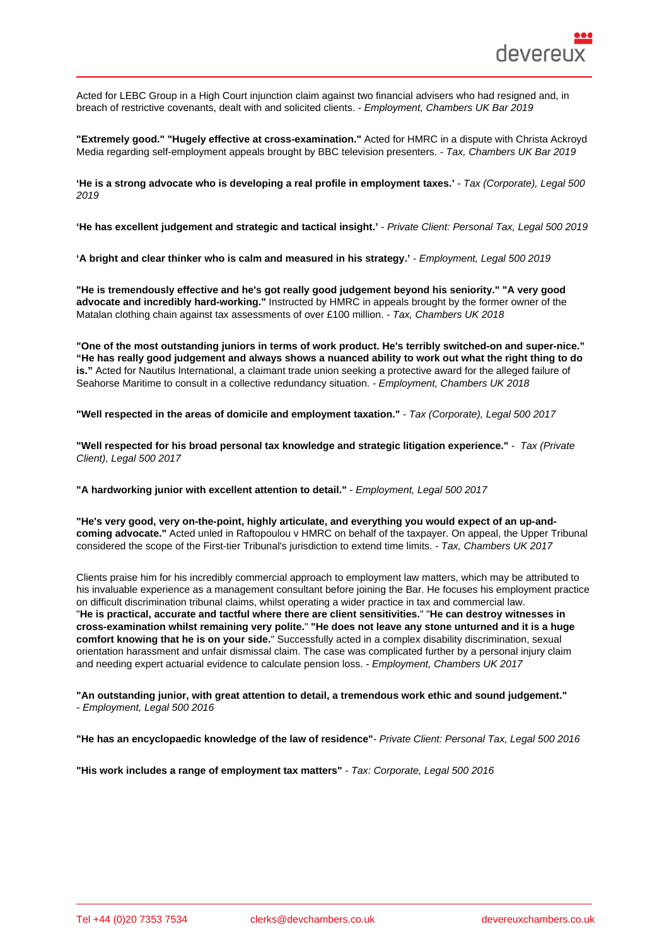Acted for LEBC Group in a High Court injunction claim against two financial advisers who had resigned and, in breach of restrictive covenants, dealt with and solicited clients. - Employment, Chambers UK Bar 2019

"Extremely good." "Hugely effective at cross-examination." Acted for HMRC in a dispute with Christa Ackroyd Media regarding self-employment appeals brought by BBC television presenters. - Tax, Chambers UK Bar 2019

'He is a strong advocate who is developing a real profile in employment taxes.' - Tax (Corporate), Legal 500 2019

'He has excellent judgement and strategic and tactical insight.' - Private Client: Personal Tax, Legal 500 2019

'A bright and clear thinker who is calm and measured in his strategy.' - Employment, Legal 500 2019

"He is tremendously effective and he's got really good judgement beyond his seniority." "A very good advocate and incredibly hard-working." Instructed by HMRC in appeals brought by the former owner of the Matalan clothing chain against tax assessments of over £100 million. - Tax, Chambers UK 2018

"One of the most outstanding juniors in terms of work product. He's terribly switched-on and super-nice." "He has really good judgement and always shows a nuanced ability to work out what the right thing to do is." Acted for Nautilus International, a claimant trade union seeking a protective award for the alleged failure of Seahorse Maritime to consult in a collective redundancy situation. - Employment, Chambers UK 2018

"Well respected in the areas of domicile and employment taxation." - Tax (Corporate), Legal 500 2017

"Well respected for his broad personal tax knowledge and strategic litigation experience." - Tax (Private Client), Legal 500 2017

"A hardworking junior with excellent attention to detail." - Employment, Legal 500 2017

"He's very good, very on-the-point, highly articulate, and everything you would expect of an up-andcoming advocate." Acted unled in Raftopoulou v HMRC on behalf of the taxpayer. On appeal, the Upper Tribunal considered the scope of the First-tier Tribunal's jurisdiction to extend time limits. - Tax, Chambers UK 2017

Clients praise him for his incredibly commercial approach to employment law matters, which may be attributed to his invaluable experience as a management consultant before joining the Bar. He focuses his employment practice on difficult discrimination tribunal claims, whilst operating a wider practice in tax and commercial law. "He is practical, accurate and tactful where there are client sensitivities. " "He can destroy witnesses in cross-examination whilst remaining very polite. " "He does not leave any stone unturned and it is a huge comfort knowing that he is on your side. " Successfully acted in a complex disability discrimination, sexual orientation harassment and unfair dismissal claim. The case was complicated further by a personal injury claim and needing expert actuarial evidence to calculate pension loss. - Employment, Chambers UK 2017

"An outstanding junior, with great attention to detail, a tremendous work ethic and sound judgement." - Employment, Legal 500 2016

"He has an encyclopaedic knowledge of the law of residence" - Private Client: Personal Tax, Legal 500 2016

"His work includes a range of employment tax matters" - Tax: Corporate, Legal 500 2016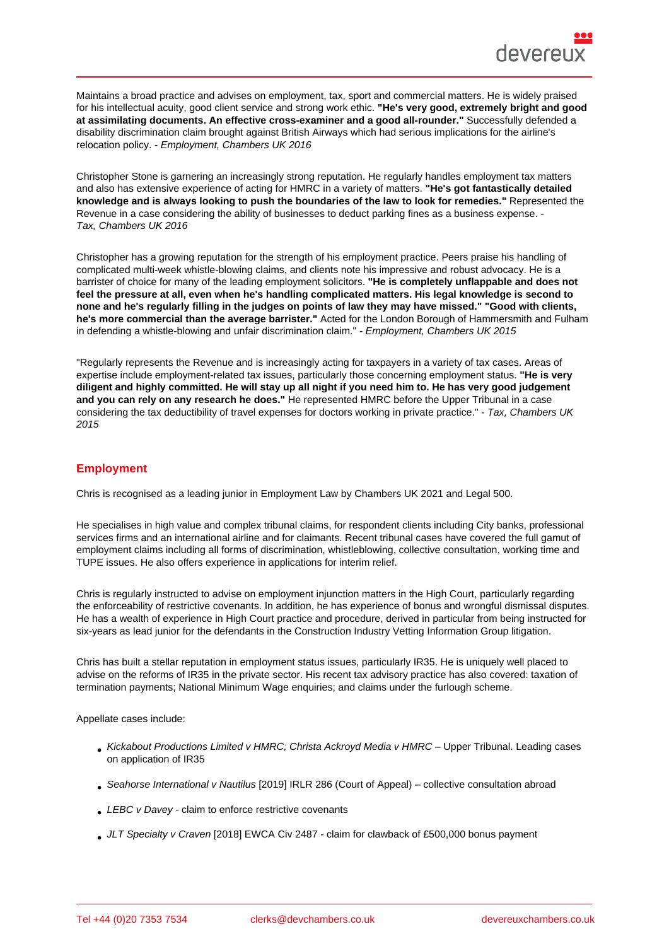Maintains a broad practice and advises on employment, tax, sport and commercial matters. He is widely praised for his intellectual acuity, good client service and strong work ethic. "He's very good, extremely bright and good at assimilating documents. An effective cross-examiner and a good all-rounder." Successfully defended a disability discrimination claim brought against British Airways which had serious implications for the airline's relocation policy. - Employment, Chambers UK 2016

Christopher Stone is garnering an increasingly strong reputation. He regularly handles employment tax matters and also has extensive experience of acting for HMRC in a variety of matters. "He's got fantastically detailed knowledge and is always looking to push the boundaries of the law to look for remedies." Represented the Revenue in a case considering the ability of businesses to deduct parking fines as a business expense. - Tax, Chambers UK 2016

Christopher has a growing reputation for the strength of his employment practice. Peers praise his handling of complicated multi-week whistle-blowing claims, and clients note his impressive and robust advocacy. He is a barrister of choice for many of the leading employment solicitors. "He is completely unflappable and does not feel the pressure at all, even when he's handling complicated matters. His legal knowledge is second to none and he's regularly filling in the judges on points of law they may have missed." "Good with clients, he's more commercial than the average barrister." Acted for the London Borough of Hammersmith and Fulham in defending a whistle-blowing and unfair discrimination claim." - Employment, Chambers UK 2015

"Regularly represents the Revenue and is increasingly acting for taxpayers in a variety of tax cases. Areas of expertise include employment-related tax issues, particularly those concerning employment status. "He is very diligent and highly committed. He will stay up all night if you need him to. He has very good judgement and you can rely on any research he does." He represented HMRC before the Upper Tribunal in a case considering the tax deductibility of travel expenses for doctors working in private practice." - Tax, Chambers UK 2015

# **Employment**

Chris is recognised as a leading junior in Employment Law by Chambers UK 2021 and Legal 500.

He specialises in high value and complex tribunal claims, for respondent clients including City banks, professional services firms and an international airline and for claimants. Recent tribunal cases have covered the full gamut of employment claims including all forms of discrimination, whistleblowing, collective consultation, working time and TUPE issues. He also offers experience in applications for interim relief.

Chris is regularly instructed to advise on employment injunction matters in the High Court, particularly regarding the enforceability of restrictive covenants. In addition, he has experience of bonus and wrongful dismissal disputes. He has a wealth of experience in High Court practice and procedure, derived in particular from being instructed for six-years as lead junior for the defendants in the Construction Industry Vetting Information Group litigation.

Chris has built a stellar reputation in employment status issues, particularly IR35. He is uniquely well placed to advise on the reforms of IR35 in the private sector. His recent tax advisory practice has also covered: taxation of termination payments; National Minimum Wage enquiries; and claims under the furlough scheme.

Appellate cases include:

- Kickabout Productions Limited v HMRC; Christa Ackroyd Media v HMRC Upper Tribunal. Leading cases on application of IR35
- Seahorse International v Nautilus [2019] IRLR 286 (Court of Appeal) collective consultation abroad
- LEBC v Davey claim to enforce restrictive covenants
- JLT Specialty v Craven [2018] EWCA Civ 2487 claim for clawback of £500,000 bonus payment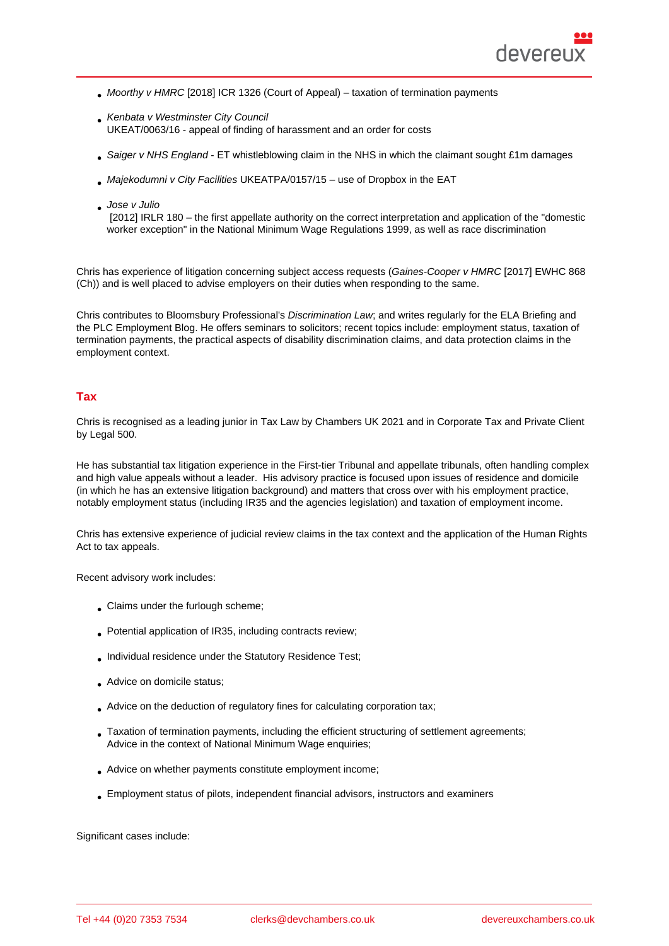- Moorthy v HMRC [2018] ICR 1326 (Court of Appeal) taxation of termination payments
- Kenbata v Westminster City Council UKEAT/0063/16 - appeal of finding of harassment and an order for costs
- Saiger v NHS England ET whistleblowing claim in the NHS in which the claimant sought £1m damages
- Majekodumni v City Facilities UKEATPA/0157/15 use of Dropbox in the EAT
- Jose v Julio

 [2012] IRLR 180 – the first appellate authority on the correct interpretation and application of the "domestic worker exception" in the National Minimum Wage Regulations 1999, as well as race discrimination

Chris has experience of litigation concerning subject access requests (Gaines-Cooper v HMRC [2017] EWHC 868 (Ch)) and is well placed to advise employers on their duties when responding to the same.

Chris contributes to Bloomsbury Professional's Discrimination Law; and writes regularly for the ELA Briefing and the PLC Employment Blog. He offers seminars to solicitors; recent topics include: employment status, taxation of termination payments, the practical aspects of disability discrimination claims, and data protection claims in the employment context.

### Tax

Chris is recognised as a leading junior in Tax Law by Chambers UK 2021 and in Corporate Tax and Private Client by Legal 500.

He has substantial tax litigation experience in the First-tier Tribunal and appellate tribunals, often handling complex and high value appeals without a leader. His advisory practice is focused upon issues of residence and domicile (in which he has an extensive litigation background) and matters that cross over with his employment practice, notably employment status (including IR35 and the agencies legislation) and taxation of employment income.

Chris has extensive experience of judicial review claims in the tax context and the application of the Human Rights Act to tax appeals.

Recent advisory work includes:

- Claims under the furlough scheme;
- Potential application of IR35, including contracts review;
- Individual residence under the Statutory Residence Test;
- Advice on domicile status;
- Advice on the deduction of regulatory fines for calculating corporation tax;
- Taxation of termination payments, including the efficient structuring of settlement agreements; Advice in the context of National Minimum Wage enquiries;
- Advice on whether payments constitute employment income;
- Employment status of pilots, independent financial advisors, instructors and examiners

Significant cases include: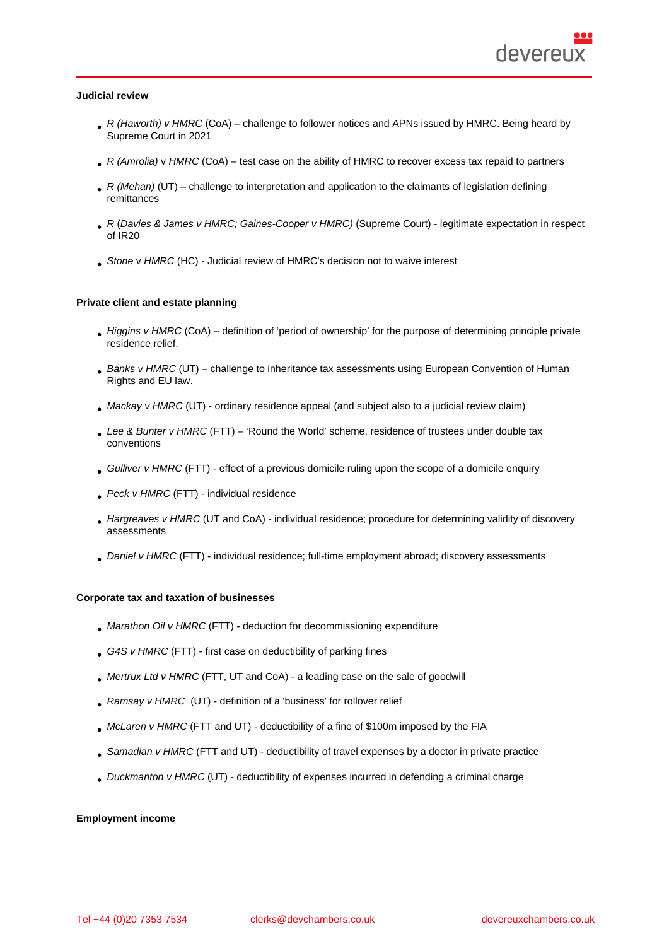Judicial review

- R (Haworth) v HMRC (CoA) challenge to follower notices and APNs issued by HMRC. Being heard by Supreme Court in 2021
- R (Amrolia) v HMRC (CoA) test case on the ability of HMRC to recover excess tax repaid to partners
- R (Mehan) (UT) challenge to interpretation and application to the claimants of legislation defining remittances
- R (Davies & James v HMRC; Gaines-Cooper v HMRC) (Supreme Court) legitimate expectation in respect of IR20
- Stone v HMRC (HC) Judicial review of HMRC's decision not to waive interest

Private client and estate planning

- Higgins v HMRC (CoA) definition of 'period of ownership' for the purpose of determining principle private residence relief.
- Banks v HMRC (UT) challenge to inheritance tax assessments using European Convention of Human Rights and EU law.
- Mackay v HMRC (UT) ordinary residence appeal (and subject also to a judicial review claim)
- Lee & Bunter v HMRC (FTT) 'Round the World' scheme, residence of trustees under double tax conventions
- Gulliver v HMRC (FTT) effect of a previous domicile ruling upon the scope of a domicile enquiry
- Peck v HMRC (FTT) individual residence
- Hargreaves v HMRC (UT and CoA) individual residence; procedure for determining validity of discovery assessments
- Daniel v HMRC (FTT) individual residence; full-time employment abroad; discovery assessments

Corporate tax and taxation of businesses

- Marathon Oil v HMRC (FTT) deduction for decommissioning expenditure
- G4S v HMRC (FTT) first case on deductibility of parking fines
- Mertrux Ltd v HMRC (FTT, UT and CoA) a leading case on the sale of goodwill
- Ramsay v HMRC (UT) definition of a 'business' for rollover relief
- McLaren v HMRC (FTT and UT) deductibility of a fine of \$100m imposed by the FIA
- Samadian v HMRC (FTT and UT) deductibility of travel expenses by a doctor in private practice
- Duckmanton v HMRC (UT) deductibility of expenses incurred in defending a criminal charge

Employment income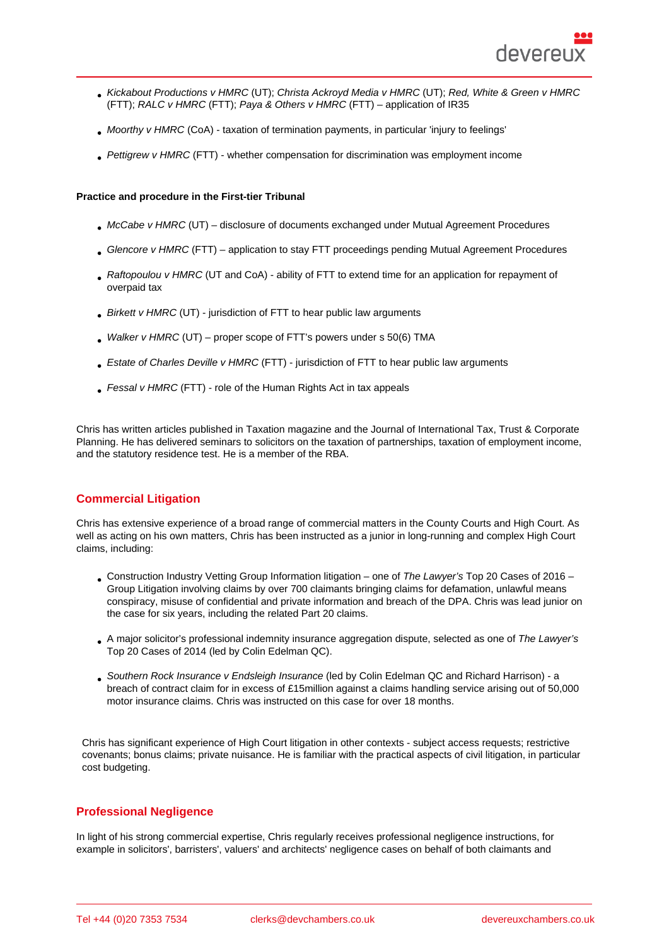- Kickabout Productions v HMRC (UT); Christa Ackroyd Media v HMRC (UT); Red, White & Green v HMRC (FTT); RALC v HMRC (FTT); Paya & Others v HMRC (FTT) – application of IR35
- Moorthy v HMRC (CoA) taxation of termination payments, in particular 'injury to feelings'
- Pettigrew v HMRC (FTT) whether compensation for discrimination was employment income

Practice and procedure in the First-tier Tribunal

- McCabe v HMRC (UT) disclosure of documents exchanged under Mutual Agreement Procedures
- Glencore v HMRC (FTT) application to stay FTT proceedings pending Mutual Agreement Procedures
- Raftopoulou v HMRC (UT and CoA) ability of FTT to extend time for an application for repayment of overpaid tax
- Birkett v HMRC (UT) jurisdiction of FTT to hear public law arguments
- $\bullet$  Walker v HMRC (UT) proper scope of FTT's powers under s 50(6) TMA
- Estate of Charles Deville v HMRC (FTT) jurisdiction of FTT to hear public law arguments
- Fessal v HMRC (FTT) role of the Human Rights Act in tax appeals

Chris has written articles published in Taxation magazine and the Journal of International Tax, Trust & Corporate Planning. He has delivered seminars to solicitors on the taxation of partnerships, taxation of employment income, and the statutory residence test. He is a member of the RBA.

### Commercial Litigation

Chris has extensive experience of a broad range of commercial matters in the County Courts and High Court. As well as acting on his own matters, Chris has been instructed as a junior in long-running and complex High Court claims, including:

- Construction Industry Vetting Group Information litigation one of The Lawyer's Top 20 Cases of 2016 Group Litigation involving claims by over 700 claimants bringing claims for defamation, unlawful means conspiracy, misuse of confidential and private information and breach of the DPA. Chris was lead junior on the case for six years, including the related Part 20 claims.
- A major solicitor's professional indemnity insurance aggregation dispute, selected as one of The Lawyer's Top 20 Cases of 2014 (led by Colin Edelman QC).
- Southern Rock Insurance v Endsleigh Insurance (led by Colin Edelman QC and Richard Harrison) a breach of contract claim for in excess of £15million against a claims handling service arising out of 50,000 motor insurance claims. Chris was instructed on this case for over 18 months.

Chris has significant experience of High Court litigation in other contexts - subject access requests; restrictive covenants; bonus claims; private nuisance. He is familiar with the practical aspects of civil litigation, in particular cost budgeting.

### Professional Negligence

In light of his strong commercial expertise, Chris regularly receives professional negligence instructions, for example in solicitors', barristers', valuers' and architects' negligence cases on behalf of both claimants and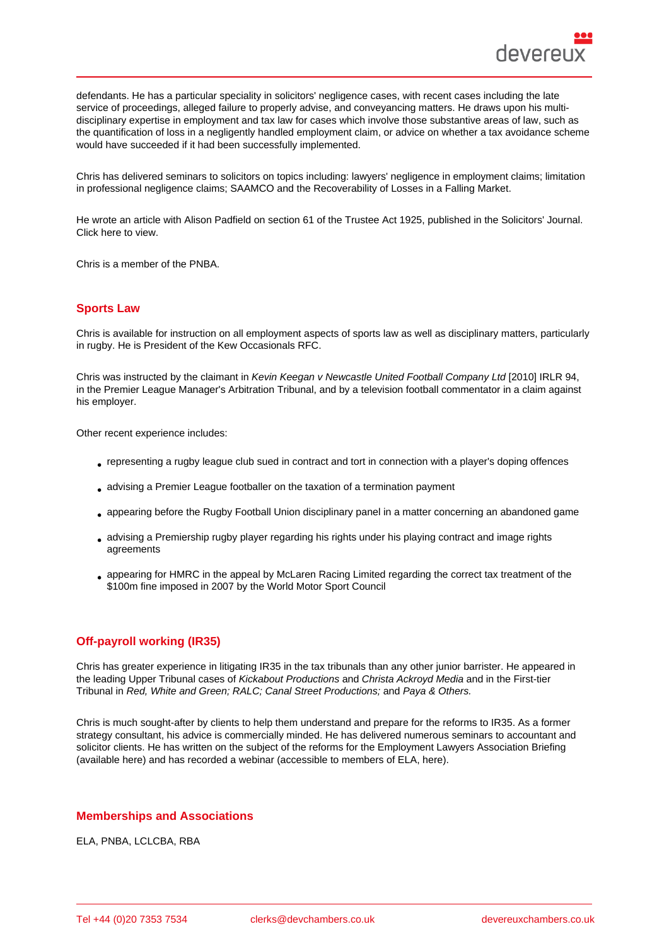defendants. He has a particular speciality in solicitors' negligence cases, with recent cases including the late service of proceedings, alleged failure to properly advise, and conveyancing matters. He draws upon his multidisciplinary expertise in employment and tax law for cases which involve those substantive areas of law, such as the quantification of loss in a negligently handled employment claim, or advice on whether a tax avoidance scheme would have succeeded if it had been successfully implemented.

Chris has delivered seminars to solicitors on topics including: lawyers' negligence in employment claims; limitation in professional negligence claims; SAAMCO and the Recoverability of Losses in a Falling Market.

He wrote an article with Alison Padfield on section 61 of the Trustee Act 1925, published in the Solicitors' Journal. Click here to view.

Chris is a member of the PNBA.

### Sports Law

Chris is available for instruction on all employment aspects of sports law as well as disciplinary matters, particularly in rugby. He is President of the Kew Occasionals RFC.

Chris was instructed by the claimant in Kevin Keegan v Newcastle United Football Company Ltd [2010] IRLR 94, in the Premier League Manager's Arbitration Tribunal, and by a television football commentator in a claim against his employer.

Other recent experience includes:

- representing a rugby league club sued in contract and tort in connection with a player's doping offences
- advising a Premier League footballer on the taxation of a termination payment
- appearing before the Rugby Football Union disciplinary panel in a matter concerning an abandoned game
- advising a Premiership rugby player regarding his rights under his playing contract and image rights agreements
- appearing for HMRC in the appeal by McLaren Racing Limited regarding the correct tax treatment of the \$100m fine imposed in 2007 by the World Motor Sport Council

### Off-payroll working (IR35)

Chris has greater experience in litigating IR35 in the tax tribunals than any other junior barrister. He appeared in the leading Upper Tribunal cases of Kickabout Productions and Christa Ackroyd Media and in the First-tier Tribunal in Red, White and Green; RALC; Canal Street Productions; and Paya & Others.

Chris is much sought-after by clients to help them understand and prepare for the reforms to IR35. As a former strategy consultant, his advice is commercially minded. He has delivered numerous seminars to accountant and solicitor clients. He has written on the subject of the reforms for the Employment Lawyers Association Briefing (available here) and has recorded a webinar (accessible to members of ELA, here).

Memberships and Associations

ELA, PNBA, LCLCBA, RBA